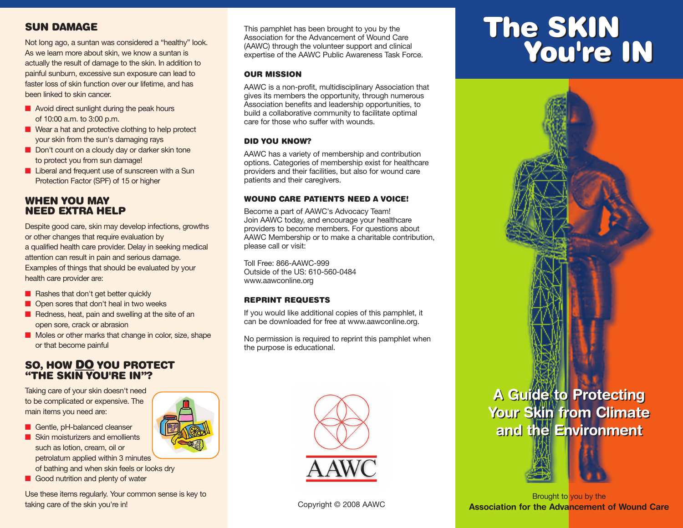### **SUN DAMAGE**

Not long ago, a suntan was considered a "healthy" look. As we learn more about skin, we know a suntan is actually the result of damage to the skin. In addition to painful sunburn, excessive sun exposure can lead to faster loss of skin function over our lifetime, and has been linked to skin cancer.

- Avoid direct sunlight during the peak hours of 10:00 a.m. to 3:00 p.m.
- Wear a hat and protective clothing to help protect your skin from the sun's damaging rays
- Don't count on a cloudy day or darker skin tone to protect you from sun damage!
- Liberal and frequent use of sunscreen with a Sun Protection Factor (SPF) of 15 or higher

#### **WHEN YOU MAY NEED EXTRA HELP**

Despite good care, skin may develop infections, growths or other changes that require evaluation by a qualified health care provider. Delay in seeking medical attention can result in pain and serious damage. Examples of things that should be evaluated by your health care provider are:

- Rashes that don't get better quickly
- Open sores that don't heal in two weeks
- Redness, heat, pain and swelling at the site of an open sore, crack or abrasion
- Moles or other marks that change in color, size, shape or that become painful

#### **SO, HOW DO YOU PROTECT "THE SKIN YOU'RE IN"?**

Taking care of your skin doesn't need to be complicated or expensive. The main items you need are:

- Gentle, pH-balanced cleanser
- Skin moisturizers and emollients such as lotion, cream, oil or petrolatum applied within 3 minutes of bathing and when skin feels or looks dry
- Good nutrition and plenty of water

Use these items regularly. Your common sense is key to taking care of the skin you're in! The state of the skin you're in! Copyright © 2008 AAWC

This pamphlet has been brought to you by the Association for the Advancement of Wound Care (AAWC) through the volunteer support and clinical expertise of the AAWC Public Awareness Task Force.

#### **OUR MISSION**

AAWC is a non-profit, multidisciplinary Association that gives its members the opportunity, through numerous Association benefits and leadership opportunities, to build a collaborative community to facilitate optimal care for those who suffer with wounds.

#### **DID YOU KNOW?**

AAWC has a variety of membership and contribution options. Categories of membership exist for healthcare providers and their facilities, but also for wound care patients and their caregivers.

#### **WOUND CARE PATIENTS NEED A VOICE!**

Become a part of AAWC's Advocacy Team! Join AAWC today, and encourage your healthcare providers to become members. For questions about AAWC Membership or to make a charitable contribution, please call or visit:

Toll Free: 866-AAWC-999 Outside of the US: 610-560-0484 www.aawconline.org

#### **REPRINT REQUESTS**

If you would like additional copies of this pamphlet, it can be downloaded for free at www.aawconline.org.

No permission is required to reprint this pamphlet when the purpose is educational.



# **The SKIN You're IN The SKIN You're IN**





Brought to you by the **Association for the Advancement of Wound Care**